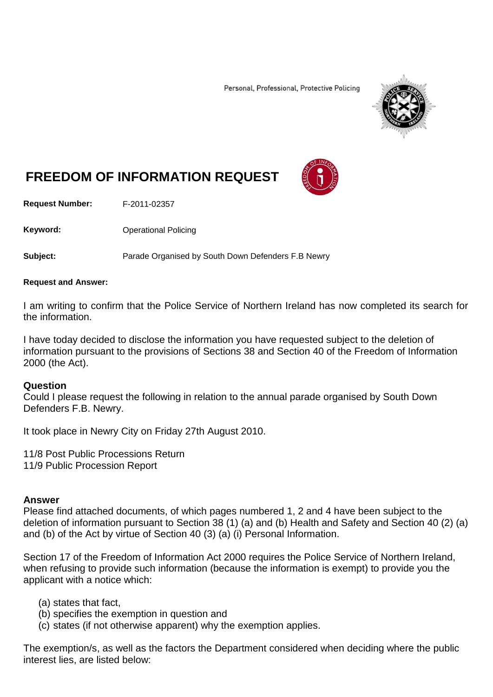Personal, Professional, Protective Policing



# **FREEDOM OF INFORMATION REQUEST**

**Request Number:** F-2011-02357

Keyword: **Channel Policing** Operational Policing

**Subject:** Parade Organised by South Down Defenders F.B Newry

#### **Request and Answer:**

I am writing to confirm that the Police Service of Northern Ireland has now completed its search for the information.

I have today decided to disclose the information you have requested subject to the deletion of information pursuant to the provisions of Sections 38 and Section 40 of the Freedom of Information 2000 (the Act).

#### **Question**

Could I please request the following in relation to the annual parade organised by South Down Defenders F.B. Newry.

It took place in Newry City on Friday 27th August 2010.

11/8 Post Public Processions Return 11/9 Public Procession Report

#### **Answer**

Please find attached documents, of which pages numbered 1, 2 and 4 have been subject to the deletion of information pursuant to Section 38 (1) (a) and (b) Health and Safety and Section 40 (2) (a) and (b) of the Act by virtue of Section 40 (3) (a) (i) Personal Information.

Section 17 of the Freedom of Information Act 2000 requires the Police Service of Northern Ireland, when refusing to provide such information (because the information is exempt) to provide you the applicant with a notice which:

- (a) states that fact,
- (b) specifies the exemption in question and
- (c) states (if not otherwise apparent) why the exemption applies.

The exemption/s, as well as the factors the Department considered when deciding where the public interest lies, are listed below: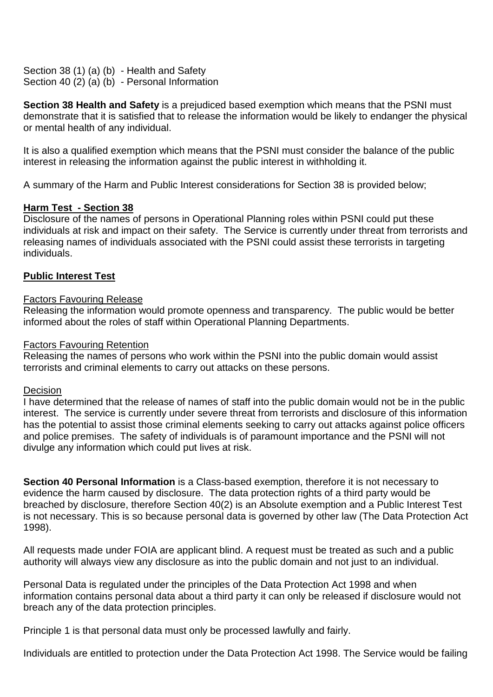Section 38 (1) (a) (b) - Health and Safety Section 40 (2) (a) (b) - Personal Information

**Section 38 Health and Safety** is a prejudiced based exemption which means that the PSNI must demonstrate that it is satisfied that to release the information would be likely to endanger the physical or mental health of any individual.

It is also a qualified exemption which means that the PSNI must consider the balance of the public interest in releasing the information against the public interest in withholding it.

A summary of the Harm and Public Interest considerations for Section 38 is provided below;

## **Harm Test - Section 38**

Disclosure of the names of persons in Operational Planning roles within PSNI could put these individuals at risk and impact on their safety. The Service is currently under threat from terrorists and releasing names of individuals associated with the PSNI could assist these terrorists in targeting individuals.

## **Public Interest Test**

### Factors Favouring Release

Releasing the information would promote openness and transparency. The public would be better informed about the roles of staff within Operational Planning Departments.

### Factors Favouring Retention

Releasing the names of persons who work within the PSNI into the public domain would assist terrorists and criminal elements to carry out attacks on these persons.

### **Decision**

I have determined that the release of names of staff into the public domain would not be in the public interest. The service is currently under severe threat from terrorists and disclosure of this information has the potential to assist those criminal elements seeking to carry out attacks against police officers and police premises. The safety of individuals is of paramount importance and the PSNI will not divulge any information which could put lives at risk.

**Section 40 Personal Information** is a Class-based exemption, therefore it is not necessary to evidence the harm caused by disclosure. The data protection rights of a third party would be breached by disclosure, therefore Section 40(2) is an Absolute exemption and a Public Interest Test is not necessary. This is so because personal data is governed by other law (The Data Protection Act 1998).

All requests made under FOIA are applicant blind. A request must be treated as such and a public authority will always view any disclosure as into the public domain and not just to an individual.

Personal Data is regulated under the principles of the Data Protection Act 1998 and when information contains personal data about a third party it can only be released if disclosure would not breach any of the data protection principles.

Principle 1 is that personal data must only be processed lawfully and fairly.

Individuals are entitled to protection under the Data Protection Act 1998. The Service would be failing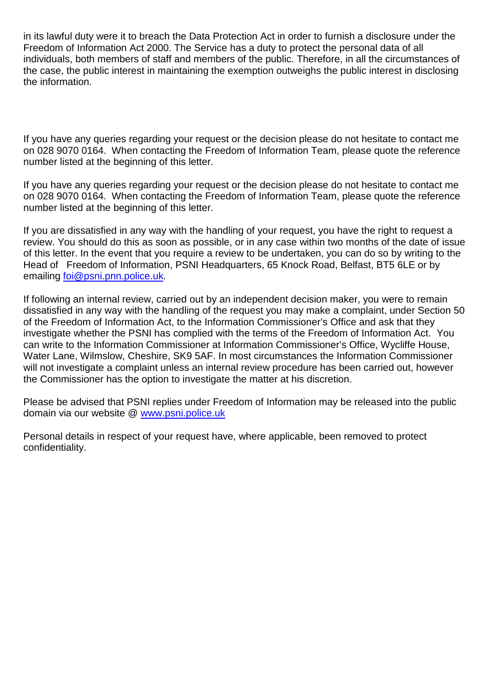in its lawful duty were it to breach the Data Protection Act in order to furnish a disclosure under the Freedom of Information Act 2000. The Service has a duty to protect the personal data of all individuals, both members of staff and members of the public. Therefore, in all the circumstances of the case, the public interest in maintaining the exemption outweighs the public interest in disclosing the information.

If you have any queries regarding your request or the decision please do not hesitate to contact me on 028 9070 0164. When contacting the Freedom of Information Team, please quote the reference number listed at the beginning of this letter.

If you have any queries regarding your request or the decision please do not hesitate to contact me on 028 9070 0164. When contacting the Freedom of Information Team, please quote the reference number listed at the beginning of this letter.

If you are dissatisfied in any way with the handling of your request, you have the right to request a review. You should do this as soon as possible, or in any case within two months of the date of issue of this letter. In the event that you require a review to be undertaken, you can do so by writing to the Head of Freedom of Information, PSNI Headquarters, 65 Knock Road, Belfast, BT5 6LE or by emailing [foi@psni.pnn.police.uk.](mailto:foi@psni.pnn.police.uk)

If following an internal review, carried out by an independent decision maker, you were to remain dissatisfied in any way with the handling of the request you may make a complaint, under Section 50 of the Freedom of Information Act, to the Information Commissioner's Office and ask that they investigate whether the PSNI has complied with the terms of the Freedom of Information Act. You can write to the Information Commissioner at Information Commissioner's Office, Wycliffe House, Water Lane, Wilmslow, Cheshire, SK9 5AF. In most circumstances the Information Commissioner will not investigate a complaint unless an internal review procedure has been carried out, however the Commissioner has the option to investigate the matter at his discretion.

Please be advised that PSNI replies under Freedom of Information may be released into the public domain via our website @ [www.psni.police.uk](http://www.psni.police.uk/)

Personal details in respect of your request have, where applicable, been removed to protect confidentiality.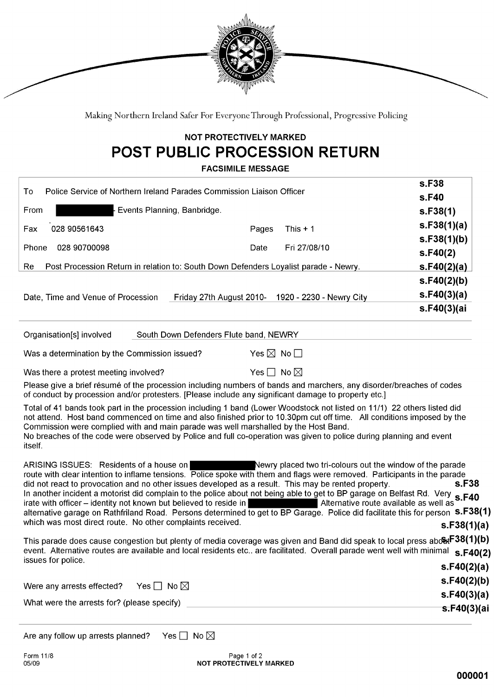

Making Northern Ireland Safer For Everyone Through Professional, Progressive Policing

## **NOT PROTECTIVELY MARKED** POST PUBLIC PROCESSION RETURN

**EACSIMILE MESSAGE** 

|                                                                                                                                                                                                                                                                                                                                                                                                                                                                             | FACSIMILE MESSAGE                                                                    |                              |                                                                                                                        |                                                                                                                                                                                                                                                                                                                                                                                                           |
|-----------------------------------------------------------------------------------------------------------------------------------------------------------------------------------------------------------------------------------------------------------------------------------------------------------------------------------------------------------------------------------------------------------------------------------------------------------------------------|--------------------------------------------------------------------------------------|------------------------------|------------------------------------------------------------------------------------------------------------------------|-----------------------------------------------------------------------------------------------------------------------------------------------------------------------------------------------------------------------------------------------------------------------------------------------------------------------------------------------------------------------------------------------------------|
| To                                                                                                                                                                                                                                                                                                                                                                                                                                                                          | Police Service of Northern Ireland Parades Commission Liaison Officer                |                              |                                                                                                                        | s.F38                                                                                                                                                                                                                                                                                                                                                                                                     |
|                                                                                                                                                                                                                                                                                                                                                                                                                                                                             |                                                                                      |                              |                                                                                                                        | s.F40                                                                                                                                                                                                                                                                                                                                                                                                     |
| From                                                                                                                                                                                                                                                                                                                                                                                                                                                                        | Events Planning, Banbridge.                                                          |                              |                                                                                                                        | s.F38(1)                                                                                                                                                                                                                                                                                                                                                                                                  |
| 028 90561643<br>Fax                                                                                                                                                                                                                                                                                                                                                                                                                                                         |                                                                                      | Pages                        | This $+1$                                                                                                              | s.F38(1)(a)                                                                                                                                                                                                                                                                                                                                                                                               |
| 028 90700098<br>Phone                                                                                                                                                                                                                                                                                                                                                                                                                                                       |                                                                                      | Date                         | Fri 27/08/10                                                                                                           | s.F38(1)(b)                                                                                                                                                                                                                                                                                                                                                                                               |
|                                                                                                                                                                                                                                                                                                                                                                                                                                                                             |                                                                                      |                              |                                                                                                                        | S.F40(2)                                                                                                                                                                                                                                                                                                                                                                                                  |
| Re                                                                                                                                                                                                                                                                                                                                                                                                                                                                          | Post Procession Return in relation to: South Down Defenders Loyalist parade - Newry. |                              |                                                                                                                        | S.F40(2)(a)                                                                                                                                                                                                                                                                                                                                                                                               |
|                                                                                                                                                                                                                                                                                                                                                                                                                                                                             |                                                                                      |                              |                                                                                                                        | s.F40(2)(b)                                                                                                                                                                                                                                                                                                                                                                                               |
| Date, Time and Venue of Procession                                                                                                                                                                                                                                                                                                                                                                                                                                          |                                                                                      |                              | Friday 27th August 2010- 1920 - 2230 - Newry City                                                                      | s.F40(3)(a)                                                                                                                                                                                                                                                                                                                                                                                               |
|                                                                                                                                                                                                                                                                                                                                                                                                                                                                             |                                                                                      |                              |                                                                                                                        | s.F40(3)(ai                                                                                                                                                                                                                                                                                                                                                                                               |
| Organisation[s] involved                                                                                                                                                                                                                                                                                                                                                                                                                                                    | South Down Defenders Flute band, NEWRY                                               |                              |                                                                                                                        |                                                                                                                                                                                                                                                                                                                                                                                                           |
| Was a determination by the Commission issued?                                                                                                                                                                                                                                                                                                                                                                                                                               |                                                                                      | Yes $\boxtimes$ No $\square$ |                                                                                                                        |                                                                                                                                                                                                                                                                                                                                                                                                           |
| Was there a protest meeting involved?                                                                                                                                                                                                                                                                                                                                                                                                                                       |                                                                                      | Yes $\Box$ No $\boxtimes$    |                                                                                                                        |                                                                                                                                                                                                                                                                                                                                                                                                           |
| Please give a brief résumé of the procession including numbers of bands and marchers, any disorder/breaches of codes<br>of conduct by procession and/or protesters. [Please include any significant damage to property etc.]                                                                                                                                                                                                                                                |                                                                                      |                              |                                                                                                                        |                                                                                                                                                                                                                                                                                                                                                                                                           |
| Total of 41 bands took part in the procession including 1 band (Lower Woodstock not listed on 11/1) 22 others listed did<br>not attend. Host band commenced on time and also finished prior to 10.30pm cut off time. All conditions imposed by the<br>Commission were complied with and main parade was well marshalled by the Host Band.<br>No breaches of the code were observed by Police and full co-operation was given to police during planning and event<br>itself. |                                                                                      |                              |                                                                                                                        |                                                                                                                                                                                                                                                                                                                                                                                                           |
| ARISING ISSUES: Residents of a house on<br>route with clear intention to inflame tensions. Police spoke with them and flags were removed. Participants in the parade<br>did not react to provocation and no other issues developed as a result. This may be rented property.<br>irate with officer - identity not known but believed to reside in<br>which was most direct route. No other complaints received.                                                             |                                                                                      |                              |                                                                                                                        | Newry placed two tri-colours out the window of the parade<br>s.F <sub>38</sub><br>In another incident a motorist did complain to the police about not being able to get to BP garage on Belfast Rd. Very s.F40<br>Alternative route available as well as<br>alternative garage on Rathfriland Road. Persons determined to get to BP Garage. Police did facilitate this for person S.F38(1)<br>s.F38(1)(a) |
| This parade does cause congestion but plenty of media coverage was given and Band did speak to local press ab <b>⊗it<sup>F38(1)(b)</sup></b><br>event. Alternative routes are available and local residents etc. are facilitated. Overall parade went well with minimal s.F40(2)<br>issues for police.                                                                                                                                                                      |                                                                                      |                              |                                                                                                                        |                                                                                                                                                                                                                                                                                                                                                                                                           |
|                                                                                                                                                                                                                                                                                                                                                                                                                                                                             |                                                                                      |                              |                                                                                                                        | s.F40(2)(a)                                                                                                                                                                                                                                                                                                                                                                                               |
| Were any arrests effected?                                                                                                                                                                                                                                                                                                                                                                                                                                                  | Yes $\Box$ No $\boxtimes$                                                            |                              |                                                                                                                        | s.F40(2)(b)                                                                                                                                                                                                                                                                                                                                                                                               |
| What were the arrests for? (please specify)                                                                                                                                                                                                                                                                                                                                                                                                                                 |                                                                                      |                              | <u> 1989 - Johann Stoff, deutscher Stoffen und der Stoffen und der Stoffen und der Stoffen und der Stoffen und der</u> | s.F40(3)(a)                                                                                                                                                                                                                                                                                                                                                                                               |
|                                                                                                                                                                                                                                                                                                                                                                                                                                                                             |                                                                                      |                              |                                                                                                                        | <del>s.F40(3</del> )(ai                                                                                                                                                                                                                                                                                                                                                                                   |
|                                                                                                                                                                                                                                                                                                                                                                                                                                                                             |                                                                                      |                              |                                                                                                                        |                                                                                                                                                                                                                                                                                                                                                                                                           |

Are any follow up arrests planned? Yes  $\Box$  No  $\boxtimes$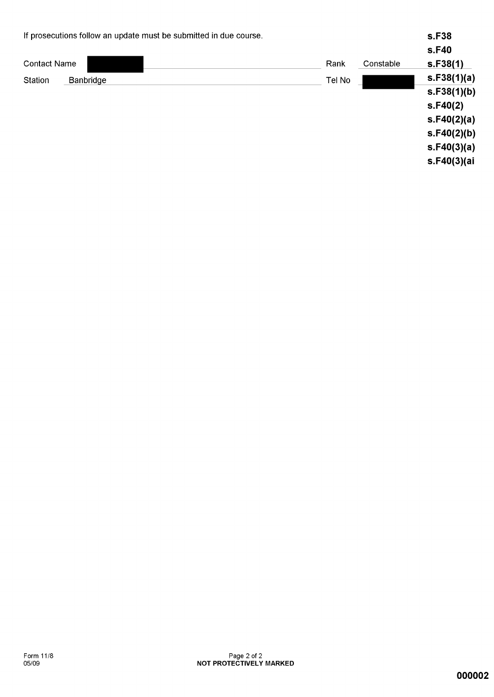| If prosecutions follow an update must be submitted in due course. |           |        | s.F38     |             |
|-------------------------------------------------------------------|-----------|--------|-----------|-------------|
|                                                                   |           |        |           | s.F40       |
| <b>Contact Name</b>                                               |           | Rank   | Constable | S.F38(1)    |
| Station                                                           | Banbridge | Tel No |           | s.F38(1)(a) |
|                                                                   |           |        |           | s.F38(1)(b) |
|                                                                   |           |        |           | S.F40(2)    |
|                                                                   |           |        |           | s.F40(2)(a) |
|                                                                   |           |        |           | s.F40(2)(b) |
|                                                                   |           |        |           | s.F40(3)(a) |
|                                                                   |           |        |           | s.F40(3)(ai |
|                                                                   |           |        |           |             |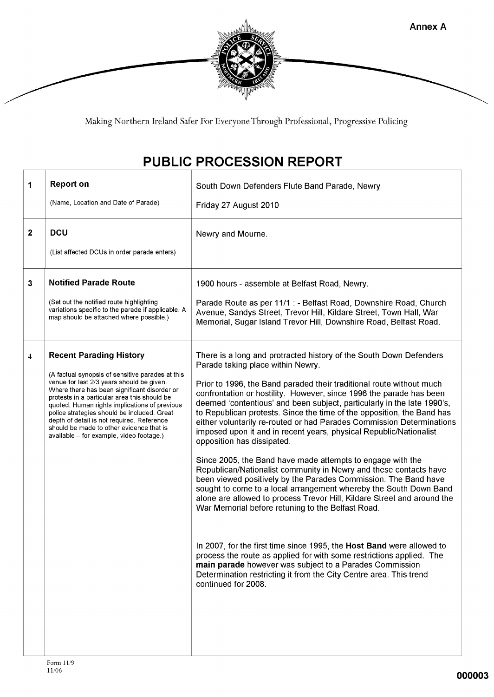

Making Northern Ireland Safer For Everyone Through Professional, Progressive Policing

## PUBLIC PROCESSION REPORT

| 1            | <b>Report on</b><br>(Name, Location and Date of Parade)                                                                                                                                                                                                                                                                                                                                                                                                               | South Down Defenders Flute Band Parade, Newry<br>Friday 27 August 2010                                                                                                                                                                                                                                                                                                                                                                                                                                                                                                                                                                                                                                                                                                                                                                                                                                                                                                                                                                                                                                                                                                                                                                                                                                       |
|--------------|-----------------------------------------------------------------------------------------------------------------------------------------------------------------------------------------------------------------------------------------------------------------------------------------------------------------------------------------------------------------------------------------------------------------------------------------------------------------------|--------------------------------------------------------------------------------------------------------------------------------------------------------------------------------------------------------------------------------------------------------------------------------------------------------------------------------------------------------------------------------------------------------------------------------------------------------------------------------------------------------------------------------------------------------------------------------------------------------------------------------------------------------------------------------------------------------------------------------------------------------------------------------------------------------------------------------------------------------------------------------------------------------------------------------------------------------------------------------------------------------------------------------------------------------------------------------------------------------------------------------------------------------------------------------------------------------------------------------------------------------------------------------------------------------------|
| $\mathbf{2}$ | <b>DCU</b><br>(List affected DCUs in order parade enters)                                                                                                                                                                                                                                                                                                                                                                                                             | Newry and Mourne.                                                                                                                                                                                                                                                                                                                                                                                                                                                                                                                                                                                                                                                                                                                                                                                                                                                                                                                                                                                                                                                                                                                                                                                                                                                                                            |
| 3            | <b>Notified Parade Route</b><br>(Set out the notified route highlighting<br>variations specific to the parade if applicable. A<br>map should be attached where possible.)                                                                                                                                                                                                                                                                                             | 1900 hours - assemble at Belfast Road, Newry.<br>Parade Route as per 11/1 : - Belfast Road, Downshire Road, Church<br>Avenue, Sandys Street, Trevor Hill, Kildare Street, Town Hall, War<br>Memorial, Sugar Island Trevor Hill, Downshire Road, Belfast Road.                                                                                                                                                                                                                                                                                                                                                                                                                                                                                                                                                                                                                                                                                                                                                                                                                                                                                                                                                                                                                                                |
| 4            | <b>Recent Parading History</b><br>(A factual synopsis of sensitive parades at this<br>venue for last 2/3 years should be given.<br>Where there has been significant disorder or<br>protests in a particular area this should be<br>quoted. Human rights implications of previous<br>police strategies should be included. Great<br>depth of detail is not required. Reference<br>should be made to other evidence that is<br>available - for example, video footage.) | There is a long and protracted history of the South Down Defenders<br>Parade taking place within Newry.<br>Prior to 1996, the Band paraded their traditional route without much<br>confrontation or hostility. However, since 1996 the parade has been<br>deemed 'contentious' and been subject, particularly in the late 1990's,<br>to Republican protests. Since the time of the opposition, the Band has<br>either voluntarily re-routed or had Parades Commission Determinations<br>imposed upon it and in recent years, physical Republic/Nationalist<br>opposition has dissipated.<br>Since 2005, the Band have made attempts to engage with the<br>Republican/Nationalist community in Newry and these contacts have<br>been viewed positively by the Parades Commission. The Band have<br>sought to come to a local arrangement whereby the South Down Band<br>alone are allowed to process Trevor Hill, Kildare Street and around the<br>War Memorial before retuning to the Belfast Road.<br>In 2007, for the first time since 1995, the Host Band were allowed to<br>process the route as applied for with some restrictions applied. The<br>main parade however was subject to a Parades Commission<br>Determination restricting it from the City Centre area. This trend<br>continued for 2008. |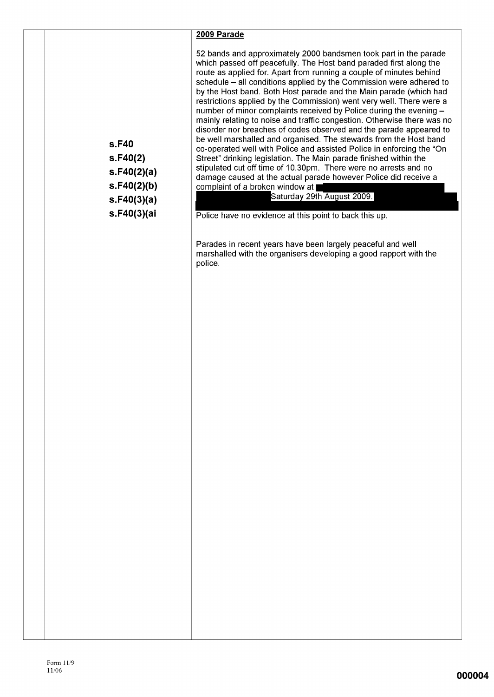#### 2009 Parade

52 bands and approximately 2000 bandsmen took part in the parade which passed off peacefully. The Host band paraded first along the route as applied for. Apart from running a couple of minutes behind schedule – all conditions applied by the Commission were adhered to by the Host band. Both Host parade and the Main parade (which had restrictions applied by the Commission) went very well. There were a number of minor complaints received by Police during the evening mainly relating to noise and traffic congestion. Otherwise there was no disorder nor breaches of codes observed and the parade appeared to be well marshalled and organised. The stewards from the Host band co-operated well with Police and assisted Police in enforcing the "On Street" drinking legislation. The Main parade finished within the stipulated cut off time of 10.30pm. There were no arrests and no damage caused at the actual parade however Police did receive a complaint of a broken window at

#### Saturday 29th August 2009.

Police have no evidence at this point to back this up.

Parades in recent years have been largely peaceful and well marshalled with the organisers developing a good rapport with the police.

s.F40 s.F40(2)  $s.F40(2)(a)$  $s.F40(2)(b)$  $s.F40(3)(a)$ s.F40(3)(ai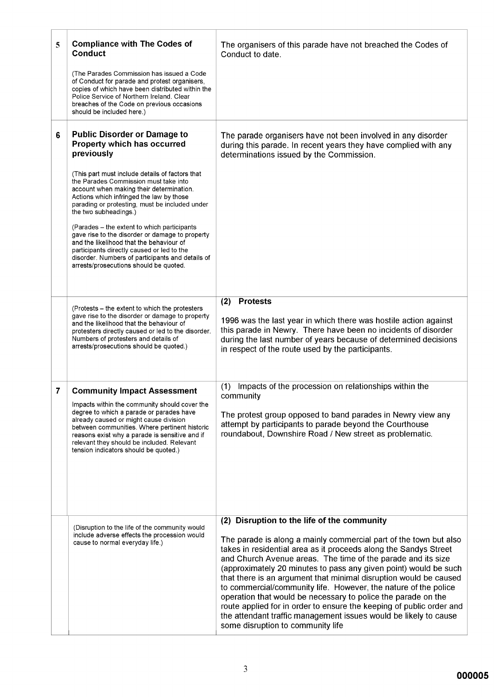| 5 | <b>Compliance with The Codes of</b><br><b>Conduct</b>                                                                                                                                                                                                                                                                                                               | The organisers of this parade have not breached the Codes of<br>Conduct to date.                                                                                                                                                                                                                                                                                                                                                                                                                                                                                                                                                                                                                                   |
|---|---------------------------------------------------------------------------------------------------------------------------------------------------------------------------------------------------------------------------------------------------------------------------------------------------------------------------------------------------------------------|--------------------------------------------------------------------------------------------------------------------------------------------------------------------------------------------------------------------------------------------------------------------------------------------------------------------------------------------------------------------------------------------------------------------------------------------------------------------------------------------------------------------------------------------------------------------------------------------------------------------------------------------------------------------------------------------------------------------|
|   | (The Parades Commission has issued a Code<br>of Conduct for parade and protest organisers,<br>copies of which have been distributed within the<br>Police Service of Northern Ireland. Clear<br>breaches of the Code on previous occasions<br>should be included here.)                                                                                              |                                                                                                                                                                                                                                                                                                                                                                                                                                                                                                                                                                                                                                                                                                                    |
| 6 | <b>Public Disorder or Damage to</b><br>Property which has occurred<br>previously                                                                                                                                                                                                                                                                                    | The parade organisers have not been involved in any disorder<br>during this parade. In recent years they have complied with any<br>determinations issued by the Commission.                                                                                                                                                                                                                                                                                                                                                                                                                                                                                                                                        |
|   | (This part must include details of factors that<br>the Parades Commission must take into<br>account when making their determination.<br>Actions which infringed the law by those<br>parading or protesting, must be included under<br>the two subheadings.)                                                                                                         |                                                                                                                                                                                                                                                                                                                                                                                                                                                                                                                                                                                                                                                                                                                    |
|   | (Parades - the extent to which participants<br>gave rise to the disorder or damage to property<br>and the likelihood that the behaviour of<br>participants directly caused or led to the<br>disorder. Numbers of participants and details of<br>arrests/prosecutions should be quoted.                                                                              |                                                                                                                                                                                                                                                                                                                                                                                                                                                                                                                                                                                                                                                                                                                    |
|   | (Protests – the extent to which the protesters<br>gave rise to the disorder or damage to property<br>and the likelihood that the behaviour of<br>protesters directly caused or led to the disorder.<br>Numbers of protesters and details of                                                                                                                         | <b>Protests</b><br>(2)<br>1996 was the last year in which there was hostile action against<br>this parade in Newry. There have been no incidents of disorder<br>during the last number of years because of determined decisions                                                                                                                                                                                                                                                                                                                                                                                                                                                                                    |
|   | arrests/prosecutions should be quoted.)                                                                                                                                                                                                                                                                                                                             | in respect of the route used by the participants.                                                                                                                                                                                                                                                                                                                                                                                                                                                                                                                                                                                                                                                                  |
| 7 | <b>Community Impact Assessment</b><br>Impacts within the community should cover the<br>degree to which a parade or parades have<br>already caused or might cause division<br>between communities. Where pertinent historic<br>reasons exist why a parade is sensitive and if<br>relevant they should be included. Relevant<br>tension indicators should be quoted.) | Impacts of the procession on relationships within the<br>(1)<br>community<br>The protest group opposed to band parades in Newry view any<br>attempt by participants to parade beyond the Courthouse<br>roundabout, Downshire Road / New street as problematic.                                                                                                                                                                                                                                                                                                                                                                                                                                                     |
|   | (Disruption to the life of the community would<br>include adverse effects the procession would<br>cause to normal everyday life.)                                                                                                                                                                                                                                   | (2) Disruption to the life of the community<br>The parade is along a mainly commercial part of the town but also<br>takes in residential area as it proceeds along the Sandys Street<br>and Church Avenue areas. The time of the parade and its size<br>(approximately 20 minutes to pass any given point) would be such<br>that there is an argument that minimal disruption would be caused<br>to commercial/community life. However, the nature of the police<br>operation that would be necessary to police the parade on the<br>route applied for in order to ensure the keeping of public order and<br>the attendant traffic management issues would be likely to cause<br>some disruption to community life |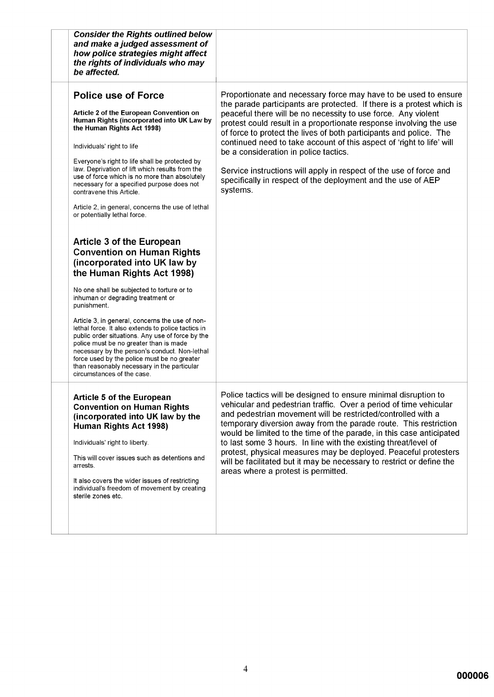| <b>Consider the Rights outlined below</b><br>and make a judged assessment of<br>how police strategies might affect<br>the rights of individuals who may<br>be affected.                                                                                                                                                                                                                                                                                                                                                                                                                                                                                                                                                                                                                                                                                                                                                                                                                                                                                                                                                          |                                                                                                                                                                                                                                                                                                                                                                                                                                                                                                                                                                                                                           |
|----------------------------------------------------------------------------------------------------------------------------------------------------------------------------------------------------------------------------------------------------------------------------------------------------------------------------------------------------------------------------------------------------------------------------------------------------------------------------------------------------------------------------------------------------------------------------------------------------------------------------------------------------------------------------------------------------------------------------------------------------------------------------------------------------------------------------------------------------------------------------------------------------------------------------------------------------------------------------------------------------------------------------------------------------------------------------------------------------------------------------------|---------------------------------------------------------------------------------------------------------------------------------------------------------------------------------------------------------------------------------------------------------------------------------------------------------------------------------------------------------------------------------------------------------------------------------------------------------------------------------------------------------------------------------------------------------------------------------------------------------------------------|
| <b>Police use of Force</b><br>Article 2 of the European Convention on<br>Human Rights (incorporated into UK Law by<br>the Human Rights Act 1998)<br>Individuals' right to life<br>Everyone's right to life shall be protected by<br>law. Deprivation of lift which results from the<br>use of force which is no more than absolutely<br>necessary for a specified purpose does not<br>contravene this Article.<br>Article 2, in general, concerns the use of lethal<br>or potentially lethal force.<br><b>Article 3 of the European</b><br><b>Convention on Human Rights</b><br>(incorporated into UK law by<br>the Human Rights Act 1998)<br>No one shall be subjected to torture or to<br>inhuman or degrading treatment or<br>punishment.<br>Article 3, in general, concerns the use of non-<br>lethal force. It also extends to police tactics in<br>public order situations. Any use of force by the<br>police must be no greater than is made<br>necessary by the person's conduct. Non-lethal<br>force used by the police must be no greater<br>than reasonably necessary in the particular<br>circumstances of the case. | Proportionate and necessary force may have to be used to ensure<br>the parade participants are protected. If there is a protest which is<br>peaceful there will be no necessity to use force. Any violent<br>protest could result in a proportionate response involving the use<br>of force to protect the lives of both participants and police. The<br>continued need to take account of this aspect of 'right to life' will<br>be a consideration in police tactics.<br>Service instructions will apply in respect of the use of force and<br>specifically in respect of the deployment and the use of AEP<br>systems. |
| <b>Article 5 of the European</b><br><b>Convention on Human Rights</b><br>(incorporated into UK law by the<br>Human Rights Act 1998)<br>Individuals' right to liberty.<br>This will cover issues such as detentions and<br>arrests.<br>It also covers the wider issues of restricting<br>individual's freedom of movement by creating<br>sterile zones etc.                                                                                                                                                                                                                                                                                                                                                                                                                                                                                                                                                                                                                                                                                                                                                                       | Police tactics will be designed to ensure minimal disruption to<br>vehicular and pedestrian traffic. Over a period of time vehicular<br>and pedestrian movement will be restricted/controlled with a<br>temporary diversion away from the parade route. This restriction<br>would be limited to the time of the parade, in this case anticipated<br>to last some 3 hours. In line with the existing threat/level of<br>protest, physical measures may be deployed. Peaceful protesters<br>will be facilitated but it may be necessary to restrict or define the<br>areas where a protest is permitted.                    |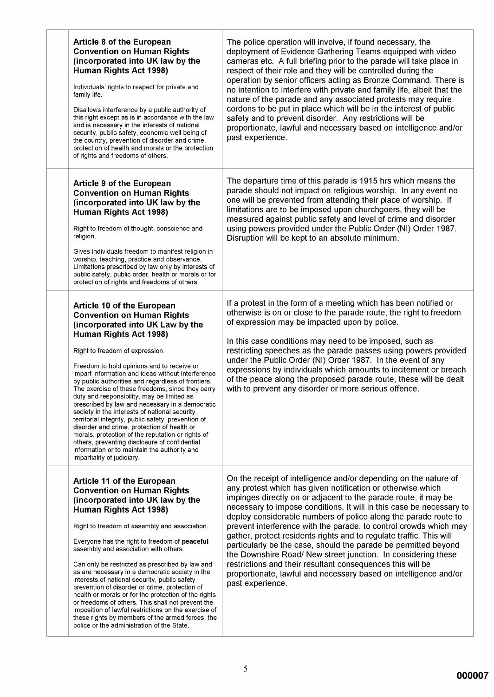| <b>Article 8 of the European</b><br><b>Convention on Human Rights</b><br>(incorporated into UK law by the<br>Human Rights Act 1998)<br>Individuals' rights to respect for private and<br>family life.<br>Disallows interference by a public authority of<br>this right except as is in accordance with the law<br>and is necessary in the interests of national<br>security, public safety, economic well being of<br>the country, prevention of disorder and crime,<br>protection of health and morals or the protection<br>of rights and freedoms of others.                                                                                                                                                                                                                                                                    | The police operation will involve, if found necessary, the<br>deployment of Evidence Gathering Teams equipped with video<br>cameras etc. A full briefing prior to the parade will take place in<br>respect of their role and they will be controlled during the<br>operation by senior officers acting as Bronze Command. There is<br>no intention to interfere with private and family life, albeit that the<br>nature of the parade and any associated protests may require<br>cordons to be put in place which will be in the interest of public<br>safety and to prevent disorder. Any restrictions will be<br>proportionate, lawful and necessary based on intelligence and/or<br>past experience.                                                                             |
|-----------------------------------------------------------------------------------------------------------------------------------------------------------------------------------------------------------------------------------------------------------------------------------------------------------------------------------------------------------------------------------------------------------------------------------------------------------------------------------------------------------------------------------------------------------------------------------------------------------------------------------------------------------------------------------------------------------------------------------------------------------------------------------------------------------------------------------|-------------------------------------------------------------------------------------------------------------------------------------------------------------------------------------------------------------------------------------------------------------------------------------------------------------------------------------------------------------------------------------------------------------------------------------------------------------------------------------------------------------------------------------------------------------------------------------------------------------------------------------------------------------------------------------------------------------------------------------------------------------------------------------|
| <b>Article 9 of the European</b><br><b>Convention on Human Rights</b><br>(incorporated into UK law by the<br>Human Rights Act 1998)<br>Right to freedom of thought, conscience and<br>religion.<br>Gives individuals freedom to manifest religion in<br>worship, teaching, practice and observance.<br>Limitations prescribed by law only by interests of<br>public safety, public order, health or morals or for<br>protection of rights and freedoms of others.                                                                                                                                                                                                                                                                                                                                                                 | The departure time of this parade is 1915 hrs which means the<br>parade should not impact on religious worship. In any event no<br>one will be prevented from attending their place of worship. If<br>limitations are to be imposed upon churchgoers, they will be<br>measured against public safety and level of crime and disorder<br>using powers provided under the Public Order (NI) Order 1987.<br>Disruption will be kept to an absolute minimum.                                                                                                                                                                                                                                                                                                                            |
| <b>Article 10 of the European</b><br><b>Convention on Human Rights</b><br>(incorporated into UK Law by the<br>Human Rights Act 1998)<br>Right to freedom of expression.<br>Freedom to hold opinions and to receive or<br>impart information and ideas without interference<br>by public authorities and regardless of frontiers.<br>The exercise of these freedoms, since they carry<br>duty and responsibility, may be limited as<br>prescribed by law and necessary in a democratic<br>society in the interests of national security,<br>territorial integrity, public safety, prevention of<br>disorder and crime, protection of health or<br>morals, protection of the reputation or rights of<br>others, preventing disclosure of confidential<br>information or to maintain the authority and<br>impartiality of judiciary. | If a protest in the form of a meeting which has been notified or<br>otherwise is on or close to the parade route, the right to freedom<br>of expression may be impacted upon by police.<br>In this case conditions may need to be imposed, such as<br>restricting speeches as the parade passes using powers provided<br>under the Public Order (NI) Order 1987. In the event of any<br>expressions by individuals which amounts to incitement or breach<br>of the peace along the proposed parade route, these will be dealt<br>with to prevent any disorder or more serious offence.                                                                                                                                                                                              |
| <b>Article 11 of the European</b><br><b>Convention on Human Rights</b><br>(incorporated into UK law by the<br>Human Rights Act 1998)<br>Right to freedom of assembly and association.<br>Everyone has the right to freedom of peaceful<br>assembly and association with others.<br>Can only be restricted as prescribed by law and<br>as are necessary in a democratic society in the<br>interests of national security, public safety,<br>prevention of disorder or crime, protection of<br>health or morals or for the protection of the rights<br>or freedoms of others. This shall not prevent the<br>imposition of lawful restrictions on the exercise of<br>these rights by members of the armed forces, the<br>police or the administration of the State.                                                                  | On the receipt of intelligence and/or depending on the nature of<br>any protest which has given notification or otherwise which<br>impinges directly on or adjacent to the parade route, it may be<br>necessary to impose conditions. It will in this case be necessary to<br>deploy considerable numbers of police along the parade route to<br>prevent interference with the parade, to control crowds which may<br>gather, protect residents rights and to regulate traffic. This will<br>particularly be the case, should the parade be permitted beyond<br>the Downshire Road/ New street junction. In considering these<br>restrictions and their resultant consequences this will be<br>proportionate, lawful and necessary based on intelligence and/or<br>past experience. |